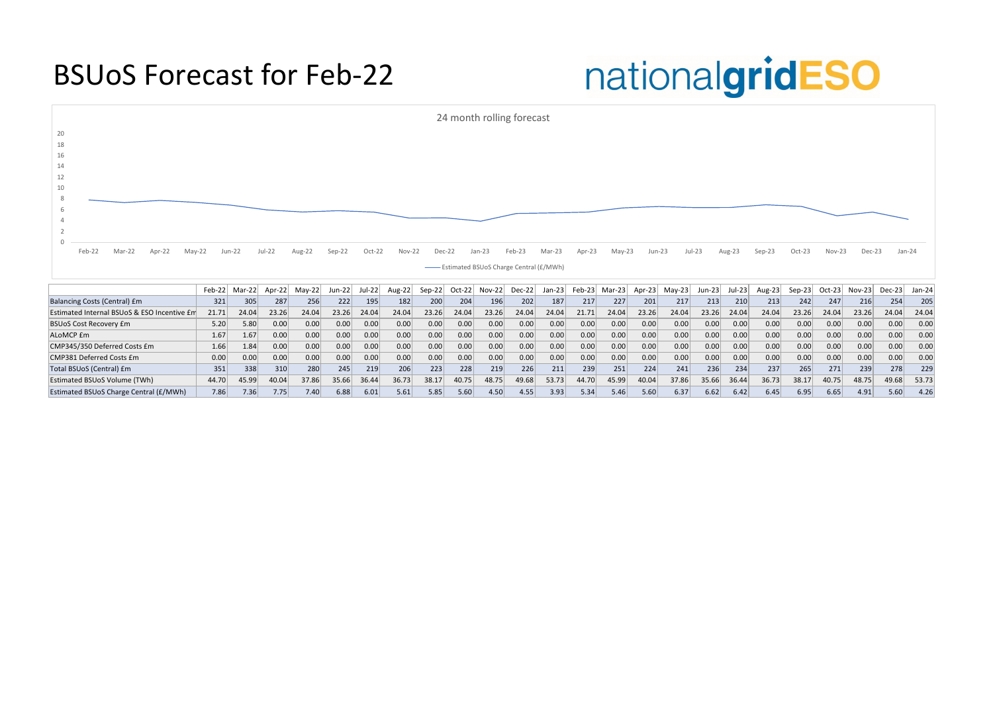### BSUoS Forecast for Feb-22

# nationalgridESO

|                                             | Feb-221 | iviar-221 |       |       | Jun-221 |       | Aug-221 | Sep-22 |       |       | Dec-221          | Jan-∠3⊺ | <b>Feb-23</b> | Mar-231 | ADI-23 | iviav-∠3i | Jun-23 | JUI-∠3∥ | $AUE-Z3$ | Sep-231 | $OCI-Z3$ | ∖IOV−Z3∣ | Dec-23 | Jan-24 |
|---------------------------------------------|---------|-----------|-------|-------|---------|-------|---------|--------|-------|-------|------------------|---------|---------------|---------|--------|-----------|--------|---------|----------|---------|----------|----------|--------|--------|
| Balancing Costs (Central) £m                | 321     | 305       | 287   | 256   | 222     | 195   | 182     | 200    | 204   | 196   | 202 <sub>1</sub> | 187     | 217           | 227     | 201    | 217       | 213    | 210     | 213      | 242     | 247      | 216      | 254    | 205    |
| Estimated Internal BSUoS & ESO Incentive Em | 21.71   | 24.04     | 23.26 | 24.04 | 23.26   | 24.04 | 24.04   | 23.26  | 24.04 | 23.26 | 24.04            | 24.04   | 21.71         | 24.04   | 23.26  | 24.04     | 23.26  | 24.04   | 24.04    | 23.26   | 24.04    | 23.26    | 24.04  | 24.04  |
| <b>BSUoS Cost Recovery £m</b>               | 5.20    | 5.80      | 0.00  | 0.00  |         | 0.00  | 0.00    | 0.00   | 0.00  | 0.00  | 0.00             | 0.00    | 0.00          | 0.00    | 0.00   | 0.00      | 0.00   | 0.00    | 0.00     | 0.00    | 0.00     | 0.00     | 0.OC   | 0.00   |
| ALoMCP £m                                   | 1.67    | '57،      | 0.00  | 0.00  |         | 0.00  | 0.00    | 0.00   | 0.00  | 0.00  | 0.00             | 0.00    | 0.00          | 0.00    | 0.00   | 0.00      | 0.00   | 0.00    | 0.00     | 0.00    | 0.00     | 0.00     | 0.00   | 0.00   |
| CMP345/350 Deferred Costs £m                | 1.66    | 1.84      | 0.00  | 0.00  |         | 0.00  | 0.00    | 0.00   | 0.00  | 0.00  | 0.00             | 0.00    | 0.00          | 0.00    | 0.00   | 0.00      | 0.00   | 0.00    | 0.00     | 0.00    | 0.00     | 0.00     | 0.00   | 0.00   |
| CMP381 Deferred Costs £m                    | 0.00    | 0.00      | 0.00  | 0.00  |         | 0.00  | 0.00    | 0.00   | 0.00  | 0.00  | 0.00             | 0.00    | 0.00          | 0.00    | 0.00   | 0.00      | 0.00   | 0.00    | 0.00     | 0.00    | 0.00     | 0.00     | 0.00   | 0.00   |
| Total BSUoS (Central) £m                    | 351     | 338       |       | 280   | 245     | 219   | 206     | 223    | 228   | 219   | 226              | 211     | 239           | 251     | 224    | 241       | 236    | 234     | 237      | 265     | 271      | 239      | 278    | 229    |
| <b>Estimated BSUoS Volume (TWh)</b>         | 44.70   | 45.99     | 40.04 | 37.86 | 35.66   | 36.44 | 36.73   | 38.17  | 40.75 | 48.75 | 49.68            | 53.73   | 44.70         | 45.99   | 40.04  | 37.86     | 35.66  | 36.44   | 36.73    | 38.17   | 40.75    | 48.75    | 49.68  | 53.73  |
| Estimated BSUoS Charge Central (£/MWh)      | 7.86    | 7.36      | 7.75  | 7.40  | 6.88    | 6.01  | 5.61    | 5.85   | 5.60  | 4.50  | 4.55             | 3.93    | 5.34          | 5.46    | 5.60   | 6.37      | 6.62   | 6.42    | 6.45     | 6.95    | 6.65     | 4.91     | 5.60   | 4.26   |



| Sep-23 | Oct-23   | Nov-23   | Dec-23        |        | Jan-24 |
|--------|----------|----------|---------------|--------|--------|
| Aug-23 | $Sep-23$ | $Oct-23$ | <b>Nov-23</b> | Dec-23 | Jan-24 |
| 213    | 242      | 247      | 216           | 254    | 205    |
| 24.04  | 23.26    | 24.04    | 23.26         | 24.04  | 24.04  |
| 0.00   | 0.00     | 0.00     | 0.00          | 0.00   | 0.00   |
| 0.00   | 0.00     | 0.00     | 0.00          | 0.00   | 0.00   |
| 0.00   | 0.00     | 0.00     | 0.00          | 0.00   | 0.00   |
|        |          |          |               |        |        |

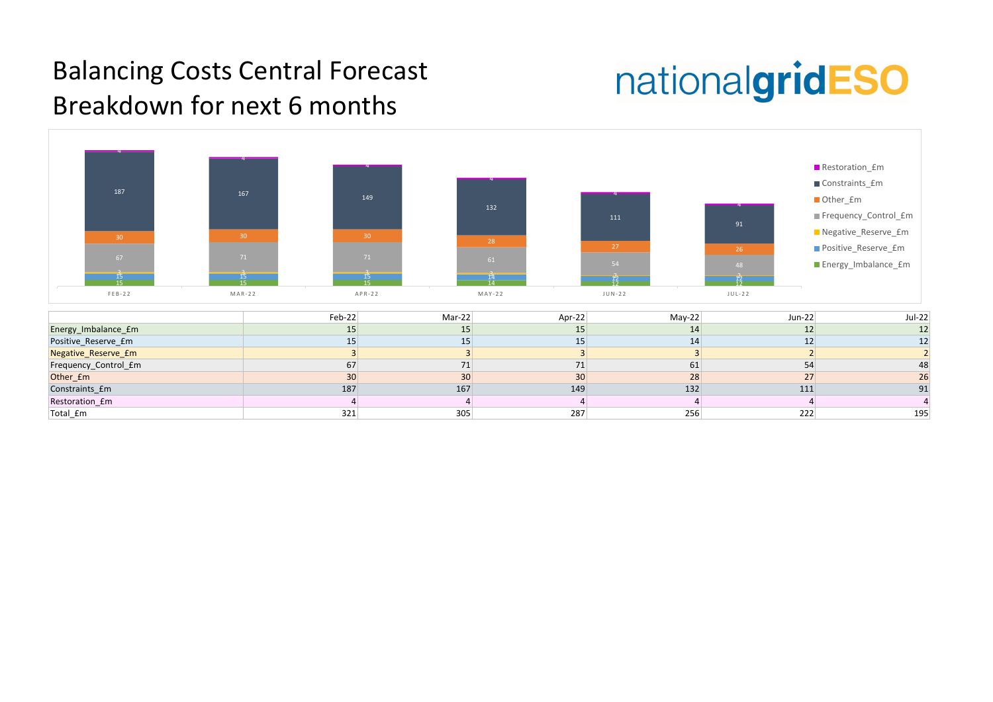### Balancing Costs Central Forecast Breakdown for next 6 months

# nationalgridESO



| <b>Jul-22</b>   | $Jun-22$       |
|-----------------|----------------|
| 12              | 12             |
| 12              | 12             |
| $\overline{2}$  | $\overline{2}$ |
| $\frac{48}{26}$ | 54             |
|                 | 27             |
| 91              | 111            |
| 4               | 4              |
| 195             | 222            |
|                 |                |